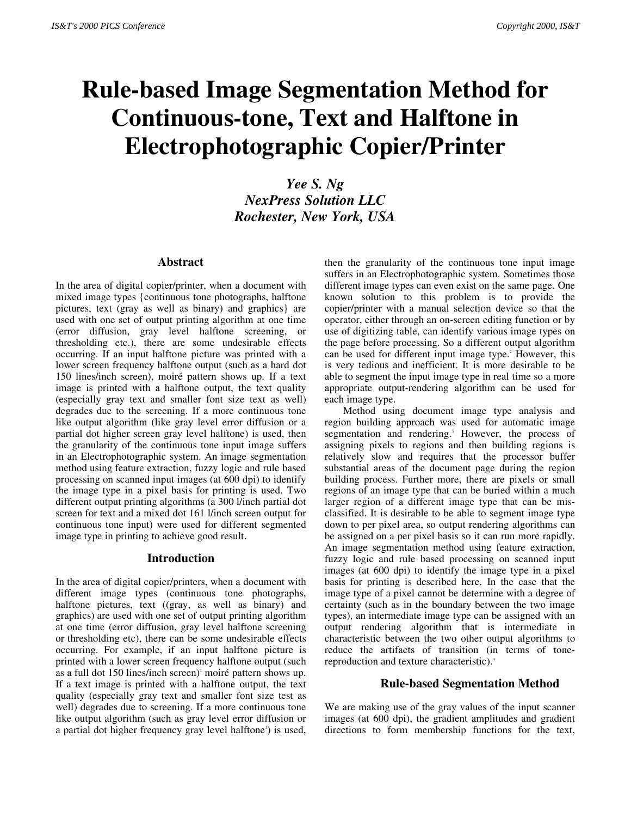# **Rule-based Image Segmentation Method for Continuous-tone, Text and Halftone in Electrophotographic Copier/Printer**

*Yee S. Ng NexPress Solution LLC Rochester, New York, USA*

#### **Abstract**

In the area of digital copier/printer, when a document with mixed image types {continuous tone photographs, halftone pictures, text (gray as well as binary) and graphics} are used with one set of output printing algorithm at one time (error diffusion, gray level halftone screening, or thresholding etc.), there are some undesirable effects occurring. If an input halftone picture was printed with a lower screen frequency halftone output (such as a hard dot 150 lines/inch screen), moiré pattern shows up. If a text image is printed with a halftone output, the text quality (especially gray text and smaller font size text as well) degrades due to the screening. If a more continuous tone like output algorithm (like gray level error diffusion or a partial dot higher screen gray level halftone) is used, then the granularity of the continuous tone input image suffers in an Electrophotographic system. An image segmentation method using feature extraction, fuzzy logic and rule based processing on scanned input images (at 600 dpi) to identify the image type in a pixel basis for printing is used. Two different output printing algorithms (a 300 l/inch partial dot screen for text and a mixed dot 161 l/inch screen output for continuous tone input) were used for different segmented image type in printing to achieve good result.

#### **Introduction**

In the area of digital copier/printers, when a document with different image types (continuous tone photographs, halftone pictures, text ((gray, as well as binary) and graphics) are used with one set of output printing algorithm at one time (error diffusion, gray level halftone screening or thresholding etc), there can be some undesirable effects occurring. For example, if an input halftone picture is printed with a lower screen frequency halftone output (such as a full dot 150 lines/inch screen)' moiré pattern shows up. If a text image is printed with a halftone output, the text quality (especially gray text and smaller font size test as well) degrades due to screening. If a more continuous tone like output algorithm (such as gray level error diffusion or a partial dot higher frequency gray level halftone') is used,

then the granularity of the continuous tone input image suffers in an Electrophotographic system. Sometimes those different image types can even exist on the same page. One known solution to this problem is to provide the copier/printer with a manual selection device so that the operator, either through an on-screen editing function or by use of digitizing table, can identify various image types on the page before processing. So a different output algorithm can be used for different input image type.<sup>2</sup> However, this is very tedious and inefficient. It is more desirable to be able to segment the input image type in real time so a more appropriate output-rendering algorithm can be used for each image type.

Method using document image type analysis and region building approach was used for automatic image segmentation and rendering.<sup>3</sup> However, the process of assigning pixels to regions and then building regions is relatively slow and requires that the processor buffer substantial areas of the document page during the region building process. Further more, there are pixels or small regions of an image type that can be buried within a much larger region of a different image type that can be misclassified. It is desirable to be able to segment image type down to per pixel area, so output rendering algorithms can be assigned on a per pixel basis so it can run more rapidly. An image segmentation method using feature extraction, fuzzy logic and rule based processing on scanned input images (at 600 dpi) to identify the image type in a pixel basis for printing is described here. In the case that the image type of a pixel cannot be determine with a degree of certainty (such as in the boundary between the two image types), an intermediate image type can be assigned with an output rendering algorithm that is intermediate in characteristic between the two other output algorithms to reduce the artifacts of transition (in terms of tonereproduction and texture characteristic).4

#### **Rule-based Segmentation Method**

We are making use of the gray values of the input scanner images (at 600 dpi), the gradient amplitudes and gradient directions to form membership functions for the text,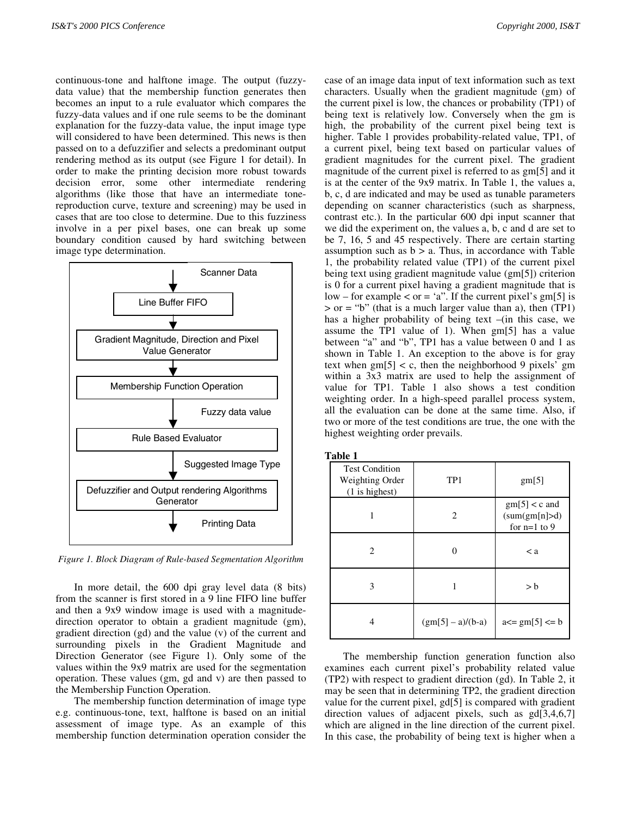continuous-tone and halftone image. The output (fuzzydata value) that the membership function generates then becomes an input to a rule evaluator which compares the fuzzy-data values and if one rule seems to be the dominant explanation for the fuzzy-data value, the input image type will considered to have been determined. This news is then passed on to a defuzzifier and selects a predominant output rendering method as its output (see Figure 1 for detail). In order to make the printing decision more robust towards decision error, some other intermediate rendering algorithms (like those that have an intermediate tonereproduction curve, texture and screening) may be used in cases that are too close to determine. Due to this fuzziness involve in a per pixel bases, one can break up some boundary condition caused by hard switching between image type determination.



*Figure 1. Block Diagram of Rule-based Segmentation Algorithm*

In more detail, the 600 dpi gray level data (8 bits) from the scanner is first stored in a 9 line FIFO line buffer and then a 9x9 window image is used with a magnitudedirection operator to obtain a gradient magnitude (gm), gradient direction (gd) and the value (v) of the current and surrounding pixels in the Gradient Magnitude and Direction Generator (see Figure 1). Only some of the values within the 9x9 matrix are used for the segmentation operation. These values (gm, gd and v) are then passed to the Membership Function Operation.

The membership function determination of image type e.g. continuous-tone, text, halftone is based on an initial assessment of image type. As an example of this membership function determination operation consider the

case of an image data input of text information such as text characters. Usually when the gradient magnitude (gm) of the current pixel is low, the chances or probability (TP1) of being text is relatively low. Conversely when the gm is high, the probability of the current pixel being text is higher. Table 1 provides probability-related value, TP1, of a current pixel, being text based on particular values of gradient magnitudes for the current pixel. The gradient magnitude of the current pixel is referred to as gm[5] and it is at the center of the 9x9 matrix. In Table 1, the values a, b, c, d are indicated and may be used as tunable parameters depending on scanner characteristics (such as sharpness, contrast etc.). In the particular 600 dpi input scanner that we did the experiment on, the values a, b, c and d are set to be 7, 16, 5 and 45 respectively. There are certain starting assumption such as  $b > a$ . Thus, in accordance with Table 1, the probability related value (TP1) of the current pixel being text using gradient magnitude value (gm[5]) criterion is 0 for a current pixel having a gradient magnitude that is  $low$  – for example  $\lt$  or = 'a". If the current pixel's gm[5] is  $>$  or = "b" (that is a much larger value than a), then (TP1) has a higher probability of being text –(in this case, we assume the TP1 value of 1). When gm[5] has a value between "a" and "b", TP1 has a value between 0 and 1 as shown in Table 1. An exception to the above is for gray text when  $\text{gm}[5] < c$ , then the neighborhood 9 pixels' gm within a 3x3 matrix are used to help the assignment of value for TP1. Table 1 also shows a test condition weighting order. In a high-speed parallel process system, all the evaluation can be done at the same time. Also, if two or more of the test conditions are true, the one with the highest weighting order prevails.

| Table 1                                                      |                   |                                                             |  |  |  |
|--------------------------------------------------------------|-------------------|-------------------------------------------------------------|--|--|--|
| <b>Test Condition</b><br>Weighting Order<br>$(1$ is highest) | TP1               | gm[5]                                                       |  |  |  |
| 1                                                            | 2                 | $\text{gm}[5] < c$ and<br>(sum(gm[n] > d)<br>for $n=1$ to 9 |  |  |  |
| $\overline{c}$                                               | 0                 | $\langle a$                                                 |  |  |  |
| 3                                                            |                   | > b                                                         |  |  |  |
| 4                                                            | $(gm[5]-a)/(b-a)$ | $a \leq g m[5] \leq b$                                      |  |  |  |

The membership function generation function also examines each current pixel's probability related value (TP2) with respect to gradient direction (gd). In Table 2, it may be seen that in determining TP2, the gradient direction value for the current pixel, gd[5] is compared with gradient direction values of adjacent pixels, such as gd[3,4,6,7] which are aligned in the line direction of the current pixel. In this case, the probability of being text is higher when a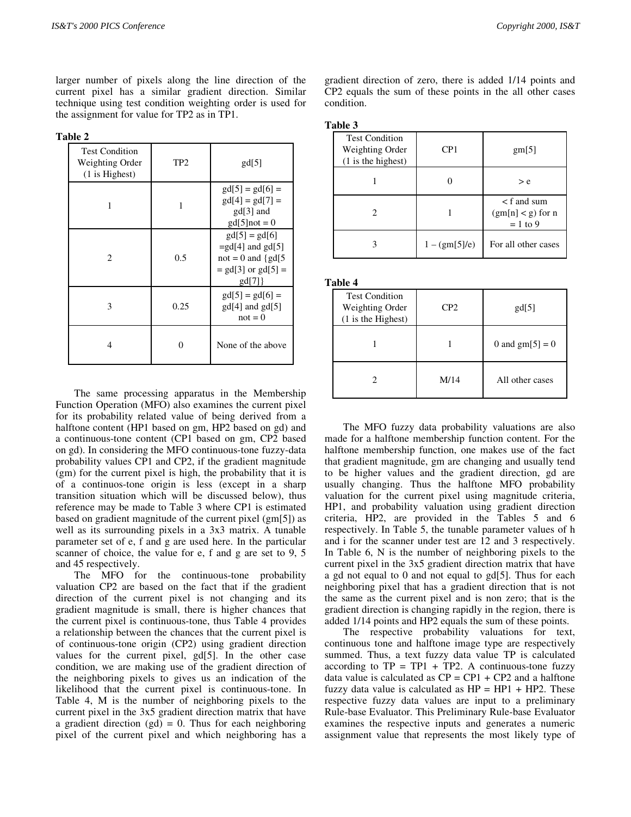larger number of pixels along the line direction of the current pixel has a similar gradient direction. Similar technique using test condition weighting order is used for the assignment for value for TP2 as in TP1.

|  |  | anı<br>16 |  |
|--|--|-----------|--|
|--|--|-----------|--|

| <b>Test Condition</b><br>Weighting Order<br>$(1$ is Highest) | TP2  | gd[5]                                                                                           |  |
|--------------------------------------------------------------|------|-------------------------------------------------------------------------------------------------|--|
|                                                              |      | $gd[5] = gd[6] =$<br>$gd[4] = gd[7] =$<br>$gd[3]$ and<br>$gd[5]$ not = 0                        |  |
| 2                                                            | 0.5  | $gd[5] = gd[6]$<br>$=$ gd[4] and gd[5]<br>$not = 0$ and {gd[5}<br>$=$ gd[3] or gd[5] =<br>gd[7] |  |
| 3                                                            | 0.25 | $gd[5] = gd[6] =$<br>$gd[4]$ and $gd[5]$<br>$not = 0$                                           |  |
| 4                                                            |      | None of the above                                                                               |  |

The same processing apparatus in the Membership Function Operation (MFO) also examines the current pixel for its probability related value of being derived from a halftone content (HP1 based on gm, HP2 based on gd) and a continuous-tone content (CP1 based on gm, CP2 based on gd). In considering the MFO continuous-tone fuzzy-data probability values CP1 and CP2, if the gradient magnitude (gm) for the current pixel is high, the probability that it is of a continuos-tone origin is less (except in a sharp transition situation which will be discussed below), thus reference may be made to Table 3 where CP1 is estimated based on gradient magnitude of the current pixel (gm[5]) as well as its surrounding pixels in a 3x3 matrix. A tunable parameter set of e, f and g are used here. In the particular scanner of choice, the value for e, f and g are set to 9, 5 and 45 respectively.

The MFO for the continuous-tone probability valuation CP2 are based on the fact that if the gradient direction of the current pixel is not changing and its gradient magnitude is small, there is higher chances that the current pixel is continuous-tone, thus Table 4 provides a relationship between the chances that the current pixel is of continuous-tone origin (CP2) using gradient direction values for the current pixel, gd[5]. In the other case condition, we are making use of the gradient direction of the neighboring pixels to gives us an indication of the likelihood that the current pixel is continuous-tone. In Table 4, M is the number of neighboring pixels to the current pixel in the 3x5 gradient direction matrix that have a gradient direction  $(gd) = 0$ . Thus for each neighboring pixel of the current pixel and which neighboring has a

gradient direction of zero, there is added 1/14 points and CP2 equals the sum of these points in the all other cases condition.

| п<br>DI<br>и<br><br>π |
|-----------------------|
|-----------------------|

| анне э                                                            |                 |                                                       |  |  |
|-------------------------------------------------------------------|-----------------|-------------------------------------------------------|--|--|
| <b>Test Condition</b><br>Weighting Order<br>$(1)$ is the highest) | CP <sub>1</sub> | gm[5]                                                 |  |  |
|                                                                   |                 | > e                                                   |  |  |
| 2                                                                 |                 | $\leq$ f and sum<br>$(gm[n] < g)$ for n<br>$= 1$ to 9 |  |  |
|                                                                   | $1 - (gm[5]/e)$ | For all other cases                                   |  |  |

**Table 4**

| <b>Test Condition</b><br>Weighting Order<br>(1 is the Highest) | CP2  | gd[5]             |
|----------------------------------------------------------------|------|-------------------|
|                                                                |      | 0 and $gm[5] = 0$ |
|                                                                | M/14 | All other cases   |

The MFO fuzzy data probability valuations are also made for a halftone membership function content. For the halftone membership function, one makes use of the fact that gradient magnitude, gm are changing and usually tend to be higher values and the gradient direction, gd are usually changing. Thus the halftone MFO probability valuation for the current pixel using magnitude criteria, HP1, and probability valuation using gradient direction criteria, HP2, are provided in the Tables 5 and 6 respectively. In Table 5, the tunable parameter values of h and i for the scanner under test are 12 and 3 respectively. In Table 6, N is the number of neighboring pixels to the current pixel in the 3x5 gradient direction matrix that have a gd not equal to 0 and not equal to gd[5]. Thus for each neighboring pixel that has a gradient direction that is not the same as the current pixel and is non zero; that is the gradient direction is changing rapidly in the region, there is added 1/14 points and HP2 equals the sum of these points.

The respective probability valuations for text, continuous tone and halftone image type are respectively summed. Thus, a text fuzzy data value TP is calculated according to  $TP = TP1 + TP2$ . A continuous-tone fuzzy data value is calculated as  $CP = CP1 + CP2$  and a halftone fuzzy data value is calculated as  $HP = HP1 + HP2$ . These respective fuzzy data values are input to a preliminary Rule-base Evaluator. This Preliminary Rule-base Evaluator examines the respective inputs and generates a numeric assignment value that represents the most likely type of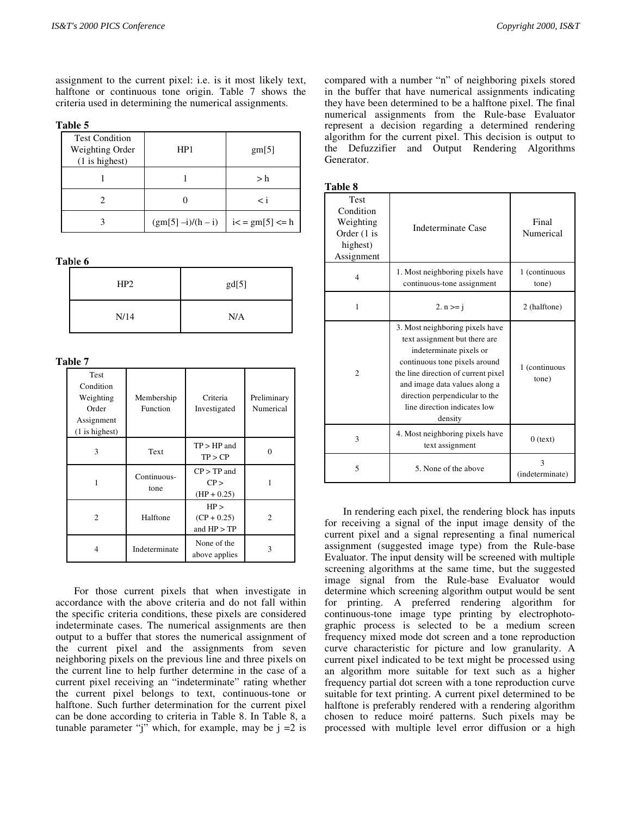assignment to the current pixel: i.e. is it most likely text, halftone or continuous tone origin. Table 7 shows the criteria used in determining the numerical assignments.

**Table 5**

| <b>Test Condition</b><br>Weighting Order<br>$(1$ is highest) | HP <sub>1</sub>   | gm[5]                 |
|--------------------------------------------------------------|-------------------|-----------------------|
|                                                              |                   | > h                   |
|                                                              |                   | $\overline{<}$ i      |
|                                                              | $(gm[5]-i)/(h-i)$ | $i < =$ gm[5] $\le$ h |

**Tab**l**e 6**

| HP2  | gd[5] |
|------|-------|
| N/14 | N/A   |

**Table 7**

| Test<br>Condition<br>Weighting<br>Order<br>Assignment<br>$(1$ is highest) | Membership<br>Function | Criteria<br>Investigated             | Preliminary<br>Numerical |
|---------------------------------------------------------------------------|------------------------|--------------------------------------|--------------------------|
| 3                                                                         | Text                   | $TP > HP$ and<br>TP > CP             | 0                        |
| 1                                                                         | Continuous-<br>tone    | $CP$ > TP and<br>CP<br>$(HP + 0.25)$ |                          |
| $\mathfrak{D}$                                                            | Halftone               | HP<br>$(CP + 0.25)$<br>and $HP > TP$ | 2                        |
|                                                                           | Indeterminate          | None of the<br>above applies         | 3                        |

For those current pixels that when investigate in accordance with the above criteria and do not fall within the specific criteria conditions, these pixels are considered indeterminate cases. The numerical assignments are then output to a buffer that stores the numerical assignment of the current pixel and the assignments from seven neighboring pixels on the previous line and three pixels on the current line to help further determine in the case of a current pixel receiving an "indeterminate" rating whether the current pixel belongs to text, continuous-tone or halftone. Such further determination for the current pixel can be done according to criteria in Table 8. In Table 8, a tunable parameter "j" which, for example, may be  $j = 2$  is compared with a number "n" of neighboring pixels stored in the buffer that have numerical assignments indicating they have been determined to be a halftone pixel. The final numerical assignments from the Rule-base Evaluator represent a decision regarding a determined rendering algorithm for the current pixel. This decision is output to the Defuzzifier and Output Rendering Algorithms Generator.

| anı<br>ı<br>c |  |
|---------------|--|
|               |  |

| 1 avie o                                                                       |                                                                                                                                                                                                                                                                                   |                        |
|--------------------------------------------------------------------------------|-----------------------------------------------------------------------------------------------------------------------------------------------------------------------------------------------------------------------------------------------------------------------------------|------------------------|
| <b>Test</b><br>Condition<br>Weighting<br>Order (1 is<br>highest)<br>Assignment | Indeterminate Case                                                                                                                                                                                                                                                                | Final<br>Numerical     |
| $\overline{4}$                                                                 | 1. Most neighboring pixels have<br>continuous-tone assignment                                                                                                                                                                                                                     | 1 (continuous<br>tone) |
| 1                                                                              | 2. $n \geq i$                                                                                                                                                                                                                                                                     |                        |
| $\overline{c}$                                                                 | 3. Most neighboring pixels have<br>text assignment but there are<br>indeterminate pixels or<br>continuous tone pixels around<br>the line direction of current pixel<br>and image data values along a<br>direction perpendicular to the<br>line direction indicates low<br>density | 1 (continuous<br>tone) |
| 3                                                                              | 4. Most neighboring pixels have<br>text assignment                                                                                                                                                                                                                                | $0$ (text)             |
| 5                                                                              | 5. None of the above                                                                                                                                                                                                                                                              | 3<br>(indeterminate)   |

In rendering each pixel, the rendering block has inputs for receiving a signal of the input image density of the current pixel and a signal representing a final numerical assignment (suggested image type) from the Rule-base Evaluator. The input density will be screened with multiple screening algorithms at the same time, but the suggested image signal from the Rule-base Evaluator would determine which screening algorithm output would be sent for printing. A preferred rendering algorithm for continuous-tone image type printing by electrophotographic process is selected to be a medium screen frequency mixed mode dot screen and a tone reproduction curve characteristic for picture and low granularity. A current pixel indicated to be text might be processed using an algorithm more suitable for text such as a higher frequency partial dot screen with a tone reproduction curve suitable for text printing. A current pixel determined to be halftone is preferably rendered with a rendering algorithm chosen to reduce moiré patterns. Such pixels may be processed with multiple level error diffusion or a high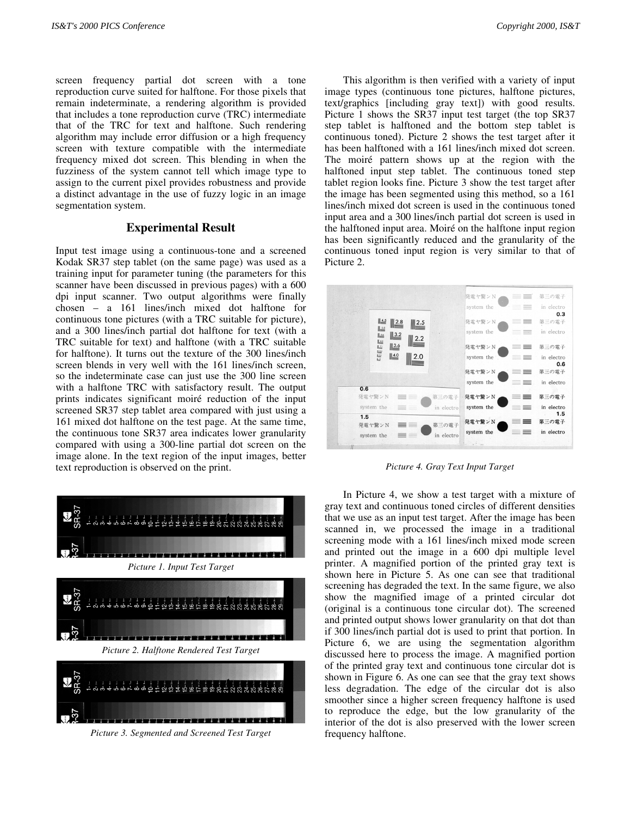screen frequency partial dot screen with a tone reproduction curve suited for halftone. For those pixels that remain indeterminate, a rendering algorithm is provided that includes a tone reproduction curve (TRC) intermediate that of the TRC for text and halftone. Such rendering algorithm may include error diffusion or a high frequency screen with texture compatible with the intermediate frequency mixed dot screen. This blending in when the fuzziness of the system cannot tell which image type to assign to the current pixel provides robustness and provide a distinct advantage in the use of fuzzy logic in an image segmentation system.

#### **Experimental Result**

Input test image using a continuous-tone and a screened Kodak SR37 step tablet (on the same page) was used as a training input for parameter tuning (the parameters for this scanner have been discussed in previous pages) with a 600 dpi input scanner. Two output algorithms were finally chosen – a 161 lines/inch mixed dot halftone for continuous tone pictures (with a TRC suitable for picture), and a 300 lines/inch partial dot halftone for text (with a TRC suitable for text) and halftone (with a TRC suitable for halftone). It turns out the texture of the 300 lines/inch screen blends in very well with the 161 lines/inch screen, so the indeterminate case can just use the 300 line screen with a halftone TRC with satisfactory result. The output prints indicates significant moiré reduction of the input screened SR37 step tablet area compared with just using a 161 mixed dot halftone on the test page. At the same time, the continuous tone SR37 area indicates lower granularity compared with using a 300-line partial dot screen on the image alone. In the text region of the input images, better text reproduction is observed on the print.



This algorithm is then verified with a variety of input image types (continuous tone pictures, halftone pictures, text/graphics [including gray text]) with good results. Picture 1 shows the SR37 input test target (the top SR37 step tablet is halftoned and the bottom step tablet is continuous toned). Picture 2 shows the test target after it has been halftoned with a 161 lines/inch mixed dot screen. The moiré pattern shows up at the region with the halftoned input step tablet. The continuous toned step tablet region looks fine. Picture 3 show the test target after the image has been segmented using this method, so a 161 lines/inch mixed dot screen is used in the continuous toned input area and a 300 lines/inch partial dot screen is used in the halftoned input area. Moiré on the halftone input region has been significantly reduced and the granularity of the continuous toned input region is very similar to that of Picture 2.



*Picture 4. Gray Text Input Target*

In Picture 4, we show a test target with a mixture of gray text and continuous toned circles of different densities that we use as an input test target. After the image has been scanned in, we processed the image in a traditional screening mode with a 161 lines/inch mixed mode screen and printed out the image in a 600 dpi multiple level printer. A magnified portion of the printed gray text is shown here in Picture 5. As one can see that traditional screening has degraded the text. In the same figure, we also show the magnified image of a printed circular dot (original is a continuous tone circular dot). The screened and printed output shows lower granularity on that dot than if 300 lines/inch partial dot is used to print that portion. In Picture 6, we are using the segmentation algorithm discussed here to process the image. A magnified portion of the printed gray text and continuous tone circular dot is shown in Figure 6. As one can see that the gray text shows less degradation. The edge of the circular dot is also smoother since a higher screen frequency halftone is used to reproduce the edge, but the low granularity of the interior of the dot is also preserved with the lower screen frequency halftone.